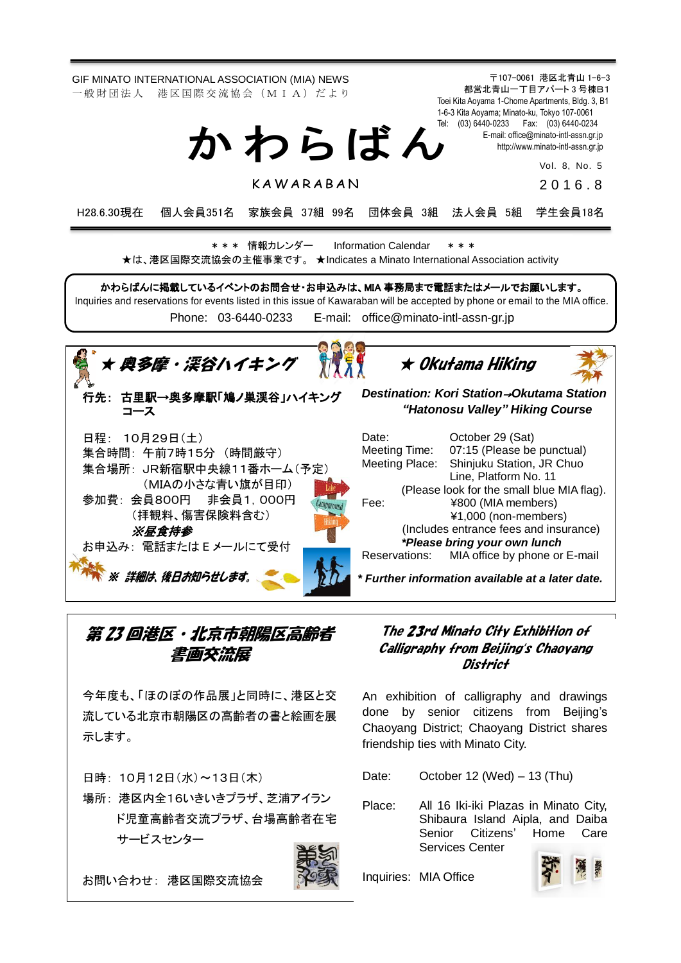

第 23 回港区・北京市朝陽区高齢者 書画交流展

今年度も、「ほのぼの作品展」と同時に、港区と交 流している北京市朝陽区の高齢者の書と絵画を展 示します。

日時: 10月12日(水)~13日(木)

場所: 港区内全16いきいきプラザ、芝浦アイラン ド児童高齢者交流プラザ、台場高齢者在宅 サービスセンター

お問い合わせ: 港区国際交流協会



The 23rd Minato City Exhibition of Calligraphy from Beijing's Chaoyang District

An exhibition of calligraphy and drawings done by senior citizens from Beijing's Chaoyang District; Chaoyang District shares friendship ties with Minato City.

Date: October 12 (Wed) – 13 (Thu)

Place: All 16 Iki-iki Plazas in Minato City, Shibaura Island Aipla, and Daiba Senior Citizens' Home Care Services Center

Inquiries: MIA Office